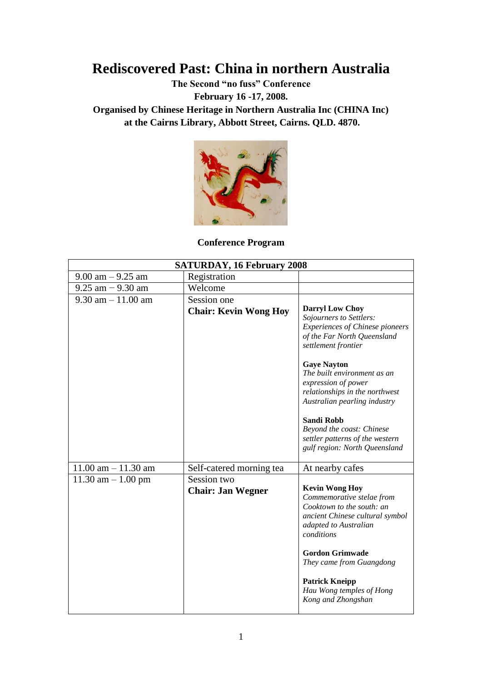# **Rediscovered Past: China in northern Australia**

**The Second "no fuss" Conference** 

**February 16 -17, 2008.**

**Organised by Chinese Heritage in Northern Australia Inc (CHINA Inc) at the Cairns Library, Abbott Street, Cairns. QLD. 4870.**



**Conference Program**

| <b>SATURDAY, 16 February 2008</b> |                                         |                                                                                                                                                                                                                                                                                                                                                                                                                       |  |
|-----------------------------------|-----------------------------------------|-----------------------------------------------------------------------------------------------------------------------------------------------------------------------------------------------------------------------------------------------------------------------------------------------------------------------------------------------------------------------------------------------------------------------|--|
| $9.00$ am $-9.25$ am              | Registration                            |                                                                                                                                                                                                                                                                                                                                                                                                                       |  |
| $9.25$ am $-9.30$ am              | Welcome                                 |                                                                                                                                                                                                                                                                                                                                                                                                                       |  |
| $9.30$ am $-11.00$ am             | Session one                             |                                                                                                                                                                                                                                                                                                                                                                                                                       |  |
|                                   | <b>Chair: Kevin Wong Hoy</b>            | <b>Darryl Low Choy</b><br>Sojourners to Settlers:<br><b>Experiences of Chinese pioneers</b><br>of the Far North Queensland<br>settlement frontier<br><b>Gaye Nayton</b><br>The built environment as an<br>expression of power<br>relationships in the northwest<br>Australian pearling industry<br><b>Sandi Robb</b><br>Beyond the coast: Chinese<br>settler patterns of the western<br>gulf region: North Queensland |  |
| $11.00$ am $- 11.30$ am           | Self-catered morning tea                | At nearby cafes                                                                                                                                                                                                                                                                                                                                                                                                       |  |
| 11.30 am $-1.00$ pm               | Session two<br><b>Chair: Jan Wegner</b> | <b>Kevin Wong Hoy</b><br>Commemorative stelae from<br>Cooktown to the south: an<br>ancient Chinese cultural symbol<br>adapted to Australian<br>conditions<br><b>Gordon Grimwade</b><br>They came from Guangdong<br><b>Patrick Kneipp</b><br>Hau Wong temples of Hong<br>Kong and Zhongshan                                                                                                                            |  |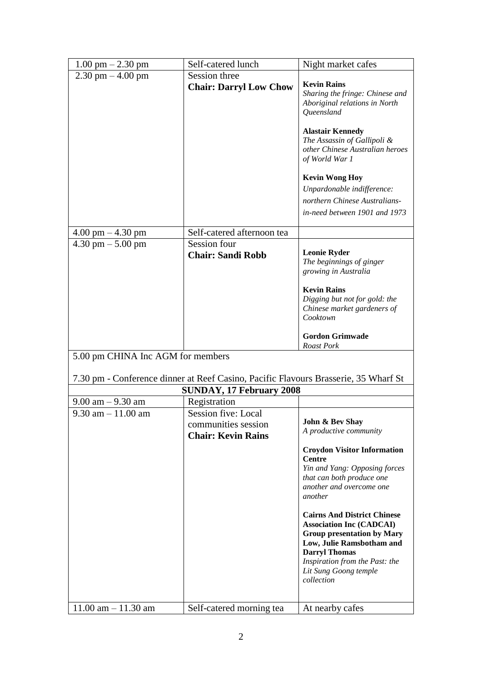| $1.00 \text{ pm} - 2.30 \text{ pm}$ | Self-catered lunch                                                                  | Night market cafes                                                                                                                                                                                                                                                                                                                                                                            |
|-------------------------------------|-------------------------------------------------------------------------------------|-----------------------------------------------------------------------------------------------------------------------------------------------------------------------------------------------------------------------------------------------------------------------------------------------------------------------------------------------------------------------------------------------|
| $2.30$ pm $-4.00$ pm                | Session three                                                                       |                                                                                                                                                                                                                                                                                                                                                                                               |
|                                     | <b>Chair: Darryl Low Chow</b>                                                       | <b>Kevin Rains</b><br>Sharing the fringe: Chinese and<br>Aboriginal relations in North<br>Queensland                                                                                                                                                                                                                                                                                          |
|                                     |                                                                                     | <b>Alastair Kennedy</b><br>The Assassin of Gallipoli &<br>other Chinese Australian heroes<br>of World War 1                                                                                                                                                                                                                                                                                   |
|                                     |                                                                                     | <b>Kevin Wong Hoy</b><br>Unpardonable indifference:<br>northern Chinese Australians-<br>in-need between 1901 and 1973                                                                                                                                                                                                                                                                         |
| $4.00 \text{ pm} - 4.30 \text{ pm}$ | Self-catered afternoon tea                                                          |                                                                                                                                                                                                                                                                                                                                                                                               |
| $4.30$ pm $- 5.00$ pm               | Session four<br><b>Chair: Sandi Robb</b>                                            | <b>Leonie Ryder</b><br>The beginnings of ginger<br>growing in Australia                                                                                                                                                                                                                                                                                                                       |
|                                     |                                                                                     | <b>Kevin Rains</b><br>Digging but not for gold: the<br>Chinese market gardeners of<br>Cooktown                                                                                                                                                                                                                                                                                                |
|                                     |                                                                                     | <b>Gordon Grimwade</b><br>Roast Pork                                                                                                                                                                                                                                                                                                                                                          |
| 5.00 pm CHINA Inc AGM for members   |                                                                                     |                                                                                                                                                                                                                                                                                                                                                                                               |
|                                     | 7.30 pm - Conference dinner at Reef Casino, Pacific Flavours Brasserie, 35 Wharf St |                                                                                                                                                                                                                                                                                                                                                                                               |
|                                     | <b>SUNDAY, 17 February 2008</b>                                                     |                                                                                                                                                                                                                                                                                                                                                                                               |
| $9.00$ am $-9.30$ am                | Registration                                                                        |                                                                                                                                                                                                                                                                                                                                                                                               |
| $9.30$ am $-11.00$ am               | Session five: Local                                                                 |                                                                                                                                                                                                                                                                                                                                                                                               |
|                                     | communities session<br><b>Chair: Kevin Rains</b>                                    | John & Bev Shay<br>A productive community                                                                                                                                                                                                                                                                                                                                                     |
|                                     |                                                                                     | <b>Croydon Visitor Information</b><br>Centre<br>Yin and Yang: Opposing forces<br>that can both produce one<br>another and overcome one<br>another<br><b>Cairns And District Chinese</b><br><b>Association Inc (CADCAI)</b><br><b>Group presentation by Mary</b><br>Low, Julie Ramsbotham and<br><b>Darryl Thomas</b><br>Inspiration from the Past: the<br>Lit Sung Goong temple<br>collection |
| $11.00$ am $- 11.30$ am             | Self-catered morning tea                                                            | At nearby cafes                                                                                                                                                                                                                                                                                                                                                                               |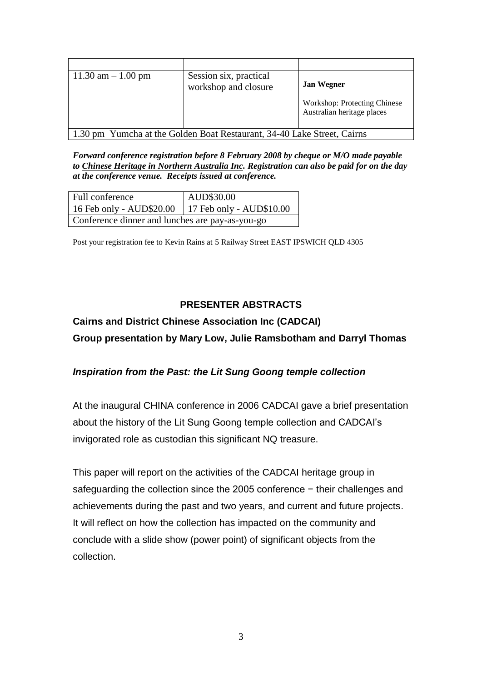| $11.30$ am $-1.00$ pm                                                   | Session six, practical<br>workshop and closure | <b>Jan Wegner</b>                                          |
|-------------------------------------------------------------------------|------------------------------------------------|------------------------------------------------------------|
|                                                                         |                                                | Workshop: Protecting Chinese<br>Australian heritage places |
| 1.30 pm Yumcha at the Golden Boat Restaurant, 34-40 Lake Street, Cairns |                                                |                                                            |

*Forward conference registration before 8 February 2008 by cheque or M/O made payable to Chinese Heritage in Northern Australia Inc. Registration can also be paid for on the day at the conference venue. Receipts issued at conference.*

| Full conference                                     | AUD\$30.00 |  |
|-----------------------------------------------------|------------|--|
| 16 Feb only - AUD\$20.00   17 Feb only - AUD\$10.00 |            |  |
| Conference dinner and lunches are pay-as-you-go     |            |  |

Post your registration fee to Kevin Rains at 5 Railway Street EAST IPSWICH QLD 4305

### **PRESENTER ABSTRACTS**

# **Cairns and District Chinese Association Inc (CADCAI)**

**Group presentation by Mary Low, Julie Ramsbotham and Darryl Thomas**

### *Inspiration from the Past: the Lit Sung Goong temple collection*

At the inaugural CHINA conference in 2006 CADCAI gave a brief presentation about the history of the Lit Sung Goong temple collection and CADCAI's invigorated role as custodian this significant NQ treasure.

This paper will report on the activities of the CADCAI heritage group in safeguarding the collection since the 2005 conference – their challenges and achievements during the past and two years, and current and future projects. It will reflect on how the collection has impacted on the community and conclude with a slide show (power point) of significant objects from the collection.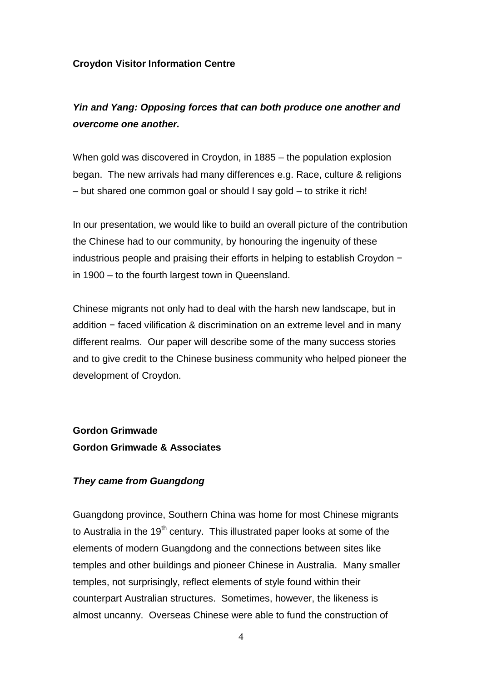### **Croydon Visitor Information Centre**

### *Yin and Yang: Opposing forces that can both produce one another and overcome one another.*

When gold was discovered in Croydon, in 1885 – the population explosion began. The new arrivals had many differences e.g. Race, culture & religions – but shared one common goal or should I say gold – to strike it rich!

In our presentation, we would like to build an overall picture of the contribution the Chinese had to our community, by honouring the ingenuity of these industrious people and praising their efforts in helping to establish Croydon − in 1900 – to the fourth largest town in Queensland.

Chinese migrants not only had to deal with the harsh new landscape, but in addition − faced vilification & discrimination on an extreme level and in many different realms. Our paper will describe some of the many success stories and to give credit to the Chinese business community who helped pioneer the development of Croydon.

**Gordon Grimwade Gordon Grimwade & Associates**

### *They came from Guangdong*

Guangdong province, Southern China was home for most Chinese migrants to Australia in the  $19<sup>th</sup>$  century. This illustrated paper looks at some of the elements of modern Guangdong and the connections between sites like temples and other buildings and pioneer Chinese in Australia. Many smaller temples, not surprisingly, reflect elements of style found within their counterpart Australian structures. Sometimes, however, the likeness is almost uncanny. Overseas Chinese were able to fund the construction of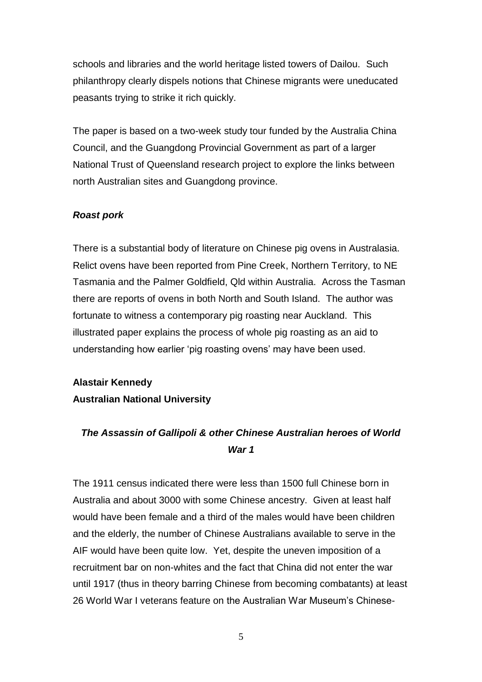schools and libraries and the world heritage listed towers of Dailou. Such philanthropy clearly dispels notions that Chinese migrants were uneducated peasants trying to strike it rich quickly.

The paper is based on a two-week study tour funded by the Australia China Council, and the Guangdong Provincial Government as part of a larger National Trust of Queensland research project to explore the links between north Australian sites and Guangdong province.

### *Roast pork*

There is a substantial body of literature on Chinese pig ovens in Australasia. Relict ovens have been reported from Pine Creek, Northern Territory, to NE Tasmania and the Palmer Goldfield, Qld within Australia. Across the Tasman there are reports of ovens in both North and South Island. The author was fortunate to witness a contemporary pig roasting near Auckland. This illustrated paper explains the process of whole pig roasting as an aid to understanding how earlier 'pig roasting ovens' may have been used.

**Alastair Kennedy Australian National University**

### *The Assassin of Gallipoli & other Chinese Australian heroes of World War 1*

The 1911 census indicated there were less than 1500 full Chinese born in Australia and about 3000 with some Chinese ancestry. Given at least half would have been female and a third of the males would have been children and the elderly, the number of Chinese Australians available to serve in the AIF would have been quite low. Yet, despite the uneven imposition of a recruitment bar on non-whites and the fact that China did not enter the war until 1917 (thus in theory barring Chinese from becoming combatants) at least 26 World War I veterans feature on the Australian War Museum's Chinese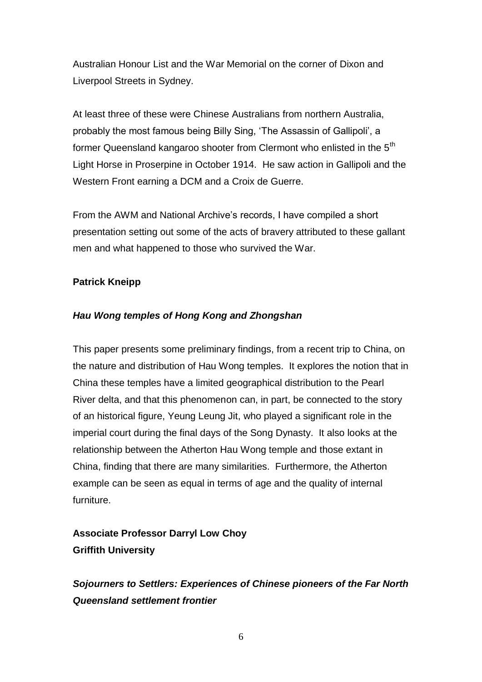Australian Honour List and the War Memorial on the corner of Dixon and Liverpool Streets in Sydney.

At least three of these were Chinese Australians from northern Australia, probably the most famous being Billy Sing, 'The Assassin of Gallipoli', a former Queensland kangaroo shooter from Clermont who enlisted in the 5<sup>th</sup> Light Horse in Proserpine in October 1914. He saw action in Gallipoli and the Western Front earning a DCM and a Croix de Guerre.

From the AWM and National Archive's records, I have compiled a short presentation setting out some of the acts of bravery attributed to these gallant men and what happened to those who survived the War.

### **Patrick Kneipp**

### *Hau Wong temples of Hong Kong and Zhongshan*

This paper presents some preliminary findings, from a recent trip to China, on the nature and distribution of Hau Wong temples. It explores the notion that in China these temples have a limited geographical distribution to the Pearl River delta, and that this phenomenon can, in part, be connected to the story of an historical figure, Yeung Leung Jit, who played a significant role in the imperial court during the final days of the Song Dynasty. It also looks at the relationship between the Atherton Hau Wong temple and those extant in China, finding that there are many similarities. Furthermore, the Atherton example can be seen as equal in terms of age and the quality of internal furniture.

# **Associate Professor Darryl Low Choy Griffith University**

*Sojourners to Settlers: Experiences of Chinese pioneers of the Far North Queensland settlement frontier*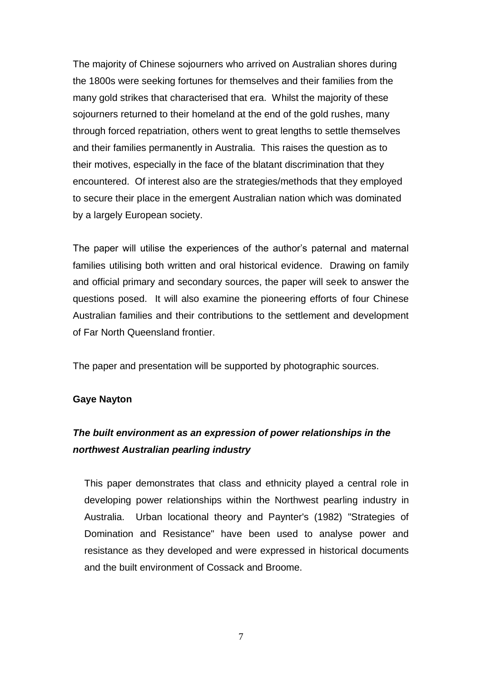The majority of Chinese sojourners who arrived on Australian shores during the 1800s were seeking fortunes for themselves and their families from the many gold strikes that characterised that era. Whilst the majority of these sojourners returned to their homeland at the end of the gold rushes, many through forced repatriation, others went to great lengths to settle themselves and their families permanently in Australia. This raises the question as to their motives, especially in the face of the blatant discrimination that they encountered. Of interest also are the strategies/methods that they employed to secure their place in the emergent Australian nation which was dominated by a largely European society.

The paper will utilise the experiences of the author's paternal and maternal families utilising both written and oral historical evidence. Drawing on family and official primary and secondary sources, the paper will seek to answer the questions posed. It will also examine the pioneering efforts of four Chinese Australian families and their contributions to the settlement and development of Far North Queensland frontier.

The paper and presentation will be supported by photographic sources.

#### **Gaye Nayton**

### *The built environment as an expression of power relationships in the northwest Australian pearling industry*

This paper demonstrates that class and ethnicity played a central role in developing power relationships within the Northwest pearling industry in Australia. Urban locational theory and Paynter's (1982) "Strategies of Domination and Resistance" have been used to analyse power and resistance as they developed and were expressed in historical documents and the built environment of Cossack and Broome.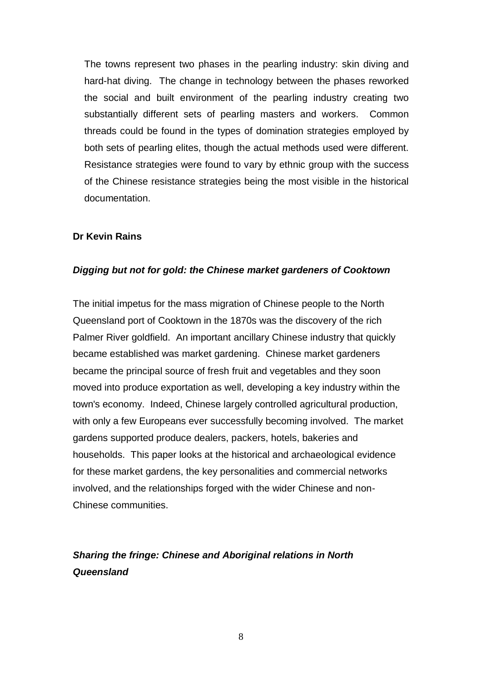The towns represent two phases in the pearling industry: skin diving and hard-hat diving. The change in technology between the phases reworked the social and built environment of the pearling industry creating two substantially different sets of pearling masters and workers. Common threads could be found in the types of domination strategies employed by both sets of pearling elites, though the actual methods used were different. Resistance strategies were found to vary by ethnic group with the success of the Chinese resistance strategies being the most visible in the historical documentation.

### **Dr Kevin Rains**

#### *Digging but not for gold: the Chinese market gardeners of Cooktown*

The initial impetus for the mass migration of Chinese people to the North Queensland port of Cooktown in the 1870s was the discovery of the rich Palmer River goldfield. An important ancillary Chinese industry that quickly became established was market gardening. Chinese market gardeners became the principal source of fresh fruit and vegetables and they soon moved into produce exportation as well, developing a key industry within the town's economy. Indeed, Chinese largely controlled agricultural production, with only a few Europeans ever successfully becoming involved. The market gardens supported produce dealers, packers, hotels, bakeries and households. This paper looks at the historical and archaeological evidence for these market gardens, the key personalities and commercial networks involved, and the relationships forged with the wider Chinese and non-Chinese communities.

# *Sharing the fringe: Chinese and Aboriginal relations in North Queensland*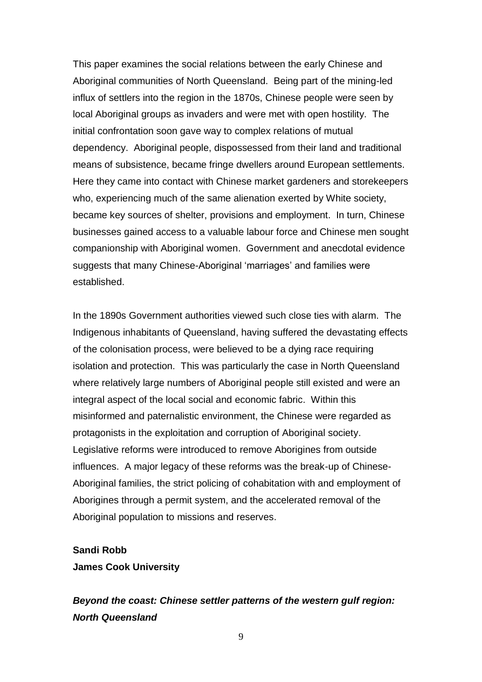This paper examines the social relations between the early Chinese and Aboriginal communities of North Queensland. Being part of the mining-led influx of settlers into the region in the 1870s, Chinese people were seen by local Aboriginal groups as invaders and were met with open hostility. The initial confrontation soon gave way to complex relations of mutual dependency. Aboriginal people, dispossessed from their land and traditional means of subsistence, became fringe dwellers around European settlements. Here they came into contact with Chinese market gardeners and storekeepers who, experiencing much of the same alienation exerted by White society, became key sources of shelter, provisions and employment. In turn, Chinese businesses gained access to a valuable labour force and Chinese men sought companionship with Aboriginal women. Government and anecdotal evidence suggests that many Chinese-Aboriginal 'marriages' and families were established.

In the 1890s Government authorities viewed such close ties with alarm. The Indigenous inhabitants of Queensland, having suffered the devastating effects of the colonisation process, were believed to be a dying race requiring isolation and protection. This was particularly the case in North Queensland where relatively large numbers of Aboriginal people still existed and were an integral aspect of the local social and economic fabric. Within this misinformed and paternalistic environment, the Chinese were regarded as protagonists in the exploitation and corruption of Aboriginal society. Legislative reforms were introduced to remove Aborigines from outside influences. A major legacy of these reforms was the break-up of Chinese-Aboriginal families, the strict policing of cohabitation with and employment of Aborigines through a permit system, and the accelerated removal of the Aboriginal population to missions and reserves.

### **Sandi Robb James Cook University**

*Beyond the coast: Chinese settler patterns of the western gulf region: North Queensland*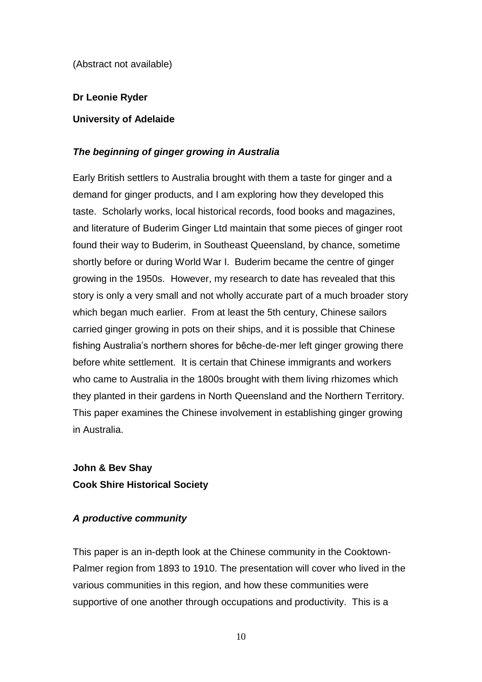(Abstract not available)

### **Dr Leonie Ryder**

### **University of Adelaide**

### *The beginning of ginger growing in Australia*

Early British settlers to Australia brought with them a taste for ginger and a demand for ginger products, and I am exploring how they developed this taste. Scholarly works, local historical records, food books and magazines, and literature of Buderim Ginger Ltd maintain that some pieces of ginger root found their way to Buderim, in Southeast Queensland, by chance, sometime shortly before or during World War I. Buderim became the centre of ginger growing in the 1950s. However, my research to date has revealed that this story is only a very small and not wholly accurate part of a much broader story which began much earlier. From at least the 5th century, Chinese sailors carried ginger growing in pots on their ships, and it is possible that Chinese fishing Australia's northern shores for bêche-de-mer left ginger growing there before white settlement. It is certain that Chinese immigrants and workers who came to Australia in the 1800s brought with them living rhizomes which they planted in their gardens in North Queensland and the Northern Territory. This paper examines the Chinese involvement in establishing ginger growing in Australia.

**John & Bev Shay Cook Shire Historical Society**

### *A productive community*

This paper is an in-depth look at the Chinese community in the Cooktown-Palmer region from 1893 to 1910. The presentation will cover who lived in the various communities in this region, and how these communities were supportive of one another through occupations and productivity. This is a